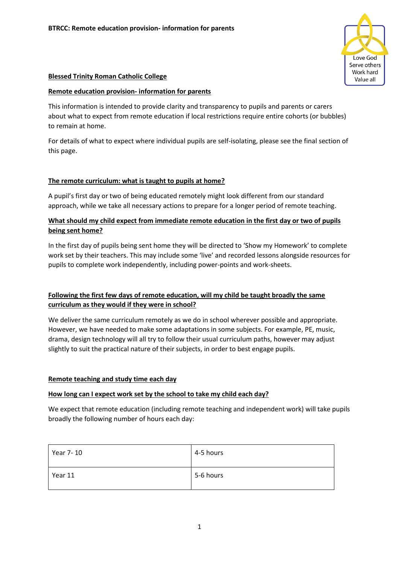

## **Blessed Trinity Roman Catholic College**

#### **Remote education provision- information for parents**

This information is intended to provide clarity and transparency to pupils and parents or carers about what to expect from remote education if local restrictions require entire cohorts (or bubbles) to remain at home.

For details of what to expect where individual pupils are self-isolating, please see the final section of this page.

## **The remote curriculum: what is taught to pupils at home?**

A pupil's first day or two of being educated remotely might look different from our standard approach, while we take all necessary actions to prepare for a longer period of remote teaching.

# **What should my child expect from immediate remote education in the first day or two of pupils being sent home?**

In the first day of pupils being sent home they will be directed to 'Show my Homework' to complete work set by their teachers. This may include some 'live' and recorded lessons alongside resources for pupils to complete work independently, including power-points and work-sheets.

# **Following the first few days of remote education, will my child be taught broadly the same curriculum as they would if they were in school?**

We deliver the same curriculum remotely as we do in school wherever possible and appropriate. However, we have needed to make some adaptations in some subjects. For example, PE, music, drama, design technology will all try to follow their usual curriculum paths, however may adjust slightly to suit the practical nature of their subjects, in order to best engage pupils.

## **Remote teaching and study time each day**

#### **How long can I expect work set by the school to take my child each day?**

We expect that remote education (including remote teaching and independent work) will take pupils broadly the following number of hours each day:

| Year 7-10 | 4-5 hours |
|-----------|-----------|
| Year 11   | 5-6 hours |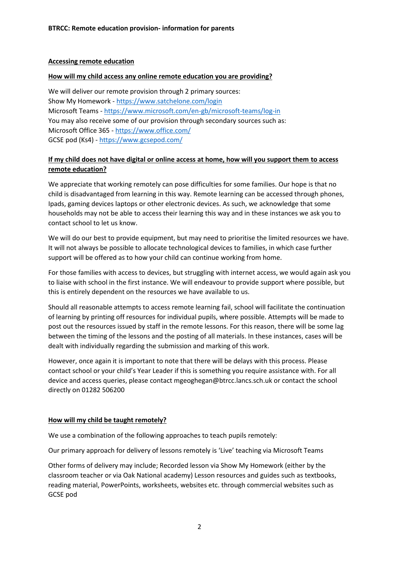#### **Accessing remote education**

#### **How will my child access any online remote education you are providing?**

We will deliver our remote provision through 2 primary sources: Show My Homework - <https://www.satchelone.com/login> Microsoft Teams - <https://www.microsoft.com/en-gb/microsoft-teams/log-in> You may also receive some of our provision through secondary sources such as: Microsoft Office 365 - <https://www.office.com/> GCSE pod (Ks4) - <https://www.gcsepod.com/>

## **If my child does not have digital or online access at home, how will you support them to access remote education?**

We appreciate that working remotely can pose difficulties for some families. Our hope is that no child is disadvantaged from learning in this way. Remote learning can be accessed through phones, Ipads, gaming devices laptops or other electronic devices. As such, we acknowledge that some households may not be able to access their learning this way and in these instances we ask you to contact school to let us know.

We will do our best to provide equipment, but may need to prioritise the limited resources we have. It will not always be possible to allocate technological devices to families, in which case further support will be offered as to how your child can continue working from home.

For those families with access to devices, but struggling with internet access, we would again ask you to liaise with school in the first instance. We will endeavour to provide support where possible, but this is entirely dependent on the resources we have available to us.

Should all reasonable attempts to access remote learning fail, school will facilitate the continuation of learning by printing off resources for individual pupils, where possible. Attempts will be made to post out the resources issued by staff in the remote lessons. For this reason, there will be some lag between the timing of the lessons and the posting of all materials. In these instances, cases will be dealt with individually regarding the submission and marking of this work.

However, once again it is important to note that there will be delays with this process. Please contact school or your child's Year Leader if this is something you require assistance with. For all device and access queries, please contact mgeoghegan@btrcc.lancs.sch.uk or contact the school directly on 01282 506200

#### **How will my child be taught remotely?**

We use a combination of the following approaches to teach pupils remotely:

Our primary approach for delivery of lessons remotely is 'Live' teaching via Microsoft Teams

Other forms of delivery may include; Recorded lesson via Show My Homework (either by the classroom teacher or via Oak National academy) Lesson resources and guides such as textbooks, reading material, PowerPoints, worksheets, websites etc. through commercial websites such as GCSE pod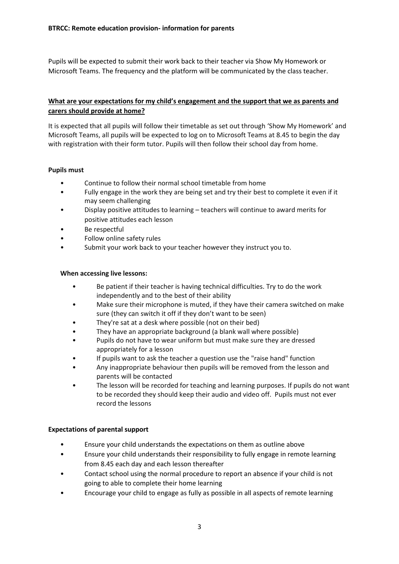Pupils will be expected to submit their work back to their teacher via Show My Homework or Microsoft Teams. The frequency and the platform will be communicated by the class teacher.

# **What are your expectations for my child's engagement and the support that we as parents and carers should provide at home?**

It is expected that all pupils will follow their timetable as set out through 'Show My Homework' and Microsoft Teams, all pupils will be expected to log on to Microsoft Teams at 8.45 to begin the day with registration with their form tutor. Pupils will then follow their school day from home.

## **Pupils must**

- Continue to follow their normal school timetable from home
- Fully engage in the work they are being set and try their best to complete it even if it may seem challenging
- Display positive attitudes to learning teachers will continue to award merits for positive attitudes each lesson
- Be respectful
- Follow online safety rules
- Submit your work back to your teacher however they instruct you to.

## **When accessing live lessons:**

- Be patient if their teacher is having technical difficulties. Try to do the work independently and to the best of their ability
- Make sure their microphone is muted, if they have their camera switched on make sure (they can switch it off if they don't want to be seen)
- They're sat at a desk where possible (not on their bed)
- They have an appropriate background (a blank wall where possible)
- Pupils do not have to wear uniform but must make sure they are dressed appropriately for a lesson
- If pupils want to ask the teacher a question use the "raise hand" function
- Any inappropriate behaviour then pupils will be removed from the lesson and parents will be contacted
- The lesson will be recorded for teaching and learning purposes. If pupils do not want to be recorded they should keep their audio and video off. Pupils must not ever record the lessons

## **Expectations of parental support**

- Ensure your child understands the expectations on them as outline above
- Ensure your child understands their responsibility to fully engage in remote learning from 8.45 each day and each lesson thereafter
- Contact school using the normal procedure to report an absence if your child is not going to able to complete their home learning
- Encourage your child to engage as fully as possible in all aspects of remote learning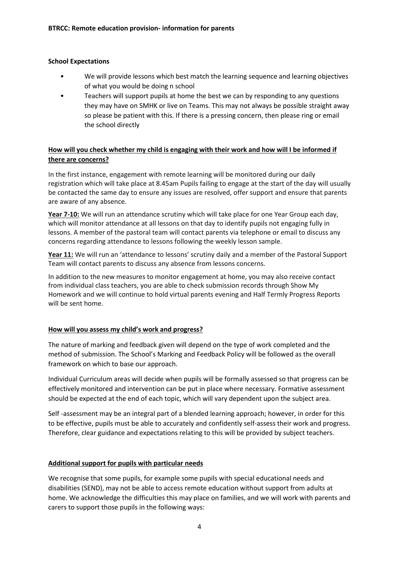## **School Expectations**

- We will provide lessons which best match the learning sequence and learning objectives of what you would be doing n school
- Teachers will support pupils at home the best we can by responding to any questions they may have on SMHK or live on Teams. This may not always be possible straight away so please be patient with this. If there is a pressing concern, then please ring or email the school directly

# **How will you check whether my child is engaging with their work and how will I be informed if there are concerns?**

In the first instance, engagement with remote learning will be monitored during our daily registration which will take place at 8.45am Pupils failing to engage at the start of the day will usually be contacted the same day to ensure any issues are resolved, offer support and ensure that parents are aware of any absence.

**Year 7-10:** We will run an attendance scrutiny which will take place for one Year Group each day, which will monitor attendance at all lessons on that day to identify pupils not engaging fully in lessons. A member of the pastoral team will contact parents via telephone or email to discuss any concerns regarding attendance to lessons following the weekly lesson sample.

**Year 11:** We will run an 'attendance to lessons' scrutiny daily and a member of the Pastoral Support Team will contact parents to discuss any absence from lessons concerns.

In addition to the new measures to monitor engagement at home, you may also receive contact from individual class teachers, you are able to check submission records through Show My Homework and we will continue to hold virtual parents evening and Half Termly Progress Reports will be sent home.

## **How will you assess my child's work and progress?**

The nature of marking and feedback given will depend on the type of work completed and the method of submission. The School's Marking and Feedback Policy will be followed as the overall framework on which to base our approach.

Individual Curriculum areas will decide when pupils will be formally assessed so that progress can be effectively monitored and intervention can be put in place where necessary. Formative assessment should be expected at the end of each topic, which will vary dependent upon the subject area.

Self -assessment may be an integral part of a blended learning approach; however, in order for this to be effective, pupils must be able to accurately and confidently self-assess their work and progress. Therefore, clear guidance and expectations relating to this will be provided by subject teachers.

## **Additional support for pupils with particular needs**

We recognise that some pupils, for example some pupils with special educational needs and disabilities (SEND), may not be able to access remote education without support from adults at home. We acknowledge the difficulties this may place on families, and we will work with parents and carers to support those pupils in the following ways: